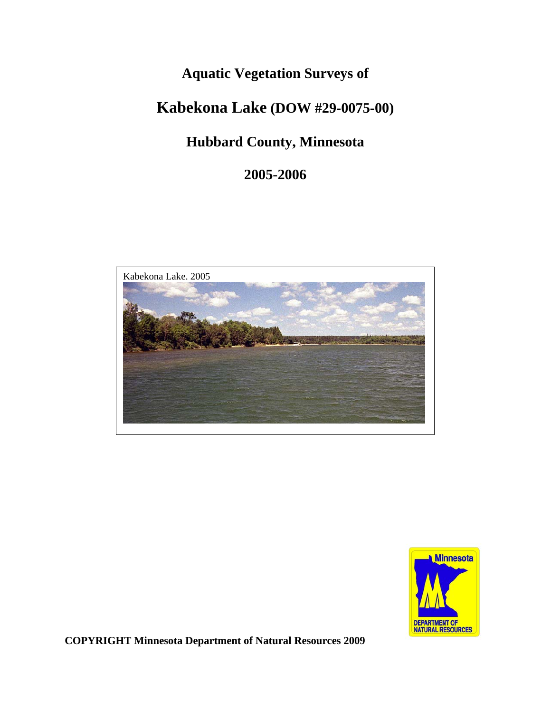# **Aquatic Vegetation Surveys of**

# **Kabekona Lake (DOW #29-0075-00)**

# **Hubbard County, Minnesota**

**2005-2006** 





**COPYRIGHT Minnesota Department of Natural Resources 2009**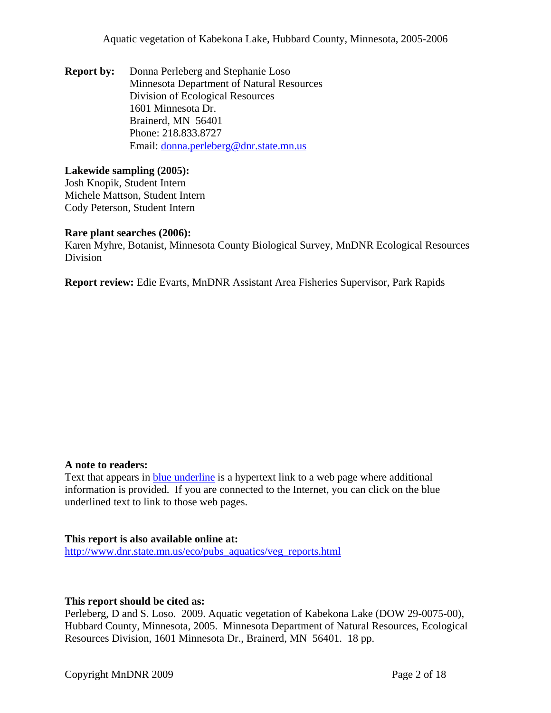Aquatic vegetation of Kabekona Lake, Hubbard County, Minnesota, 2005-2006

**Report by:** Donna Perleberg and Stephanie Loso Minnesota Department of Natural Resources Division of Ecological Resources 1601 Minnesota Dr. Brainerd, MN 56401 Phone: 218.833.8727 Email: [donna.perleberg@dnr.state.mn.us](mailto:donna.perleberg@dnr.state.mn.us)

#### **Lakewide sampling (2005):**

Josh Knopik, Student Intern Michele Mattson, Student Intern Cody Peterson, Student Intern

#### **Rare plant searches (2006):**

Karen Myhre, Botanist, Minnesota County Biological Survey, MnDNR Ecological Resources Division

**Report review:** Edie Evarts, MnDNR Assistant Area Fisheries Supervisor, Park Rapids

#### **A note to readers:**

Text that appears in blue underline is a hypertext link to a web page where additional information is provided. If you are connected to the Internet, you can click on the blue underlined text to link to those web pages.

#### **This report is also available online at:**

[http://www.dnr.state.mn.us/eco/pubs\\_aquatics/veg\\_reports.html](http://www.dnr.state.mn.us/eco/pubs_aquatics/veg_reports.html)

#### **This report should be cited as:**

Perleberg, D and S. Loso. 2009. Aquatic vegetation of Kabekona Lake (DOW 29-0075-00), Hubbard County, Minnesota, 2005. Minnesota Department of Natural Resources, Ecological Resources Division, 1601 Minnesota Dr., Brainerd, MN 56401. 18 pp.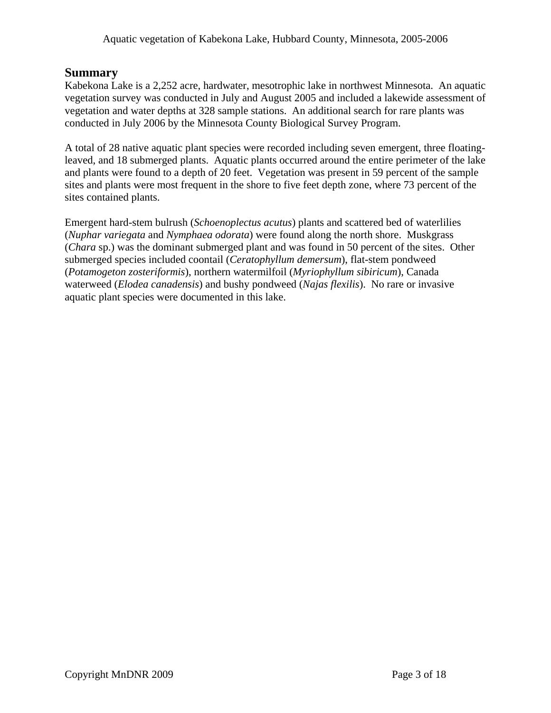# **Summary**

Kabekona Lake is a 2,252 acre, hardwater, mesotrophic lake in northwest Minnesota. An aquatic vegetation survey was conducted in July and August 2005 and included a lakewide assessment of vegetation and water depths at 328 sample stations. An additional search for rare plants was conducted in July 2006 by the Minnesota County Biological Survey Program.

A total of 28 native aquatic plant species were recorded including seven emergent, three floatingleaved, and 18 submerged plants. Aquatic plants occurred around the entire perimeter of the lake and plants were found to a depth of 20 feet. Vegetation was present in 59 percent of the sample sites and plants were most frequent in the shore to five feet depth zone, where 73 percent of the sites contained plants.

Emergent hard-stem bulrush (*Schoenoplectus acutus*) plants and scattered bed of waterlilies (*Nuphar variegata* and *Nymphaea odorata*) were found along the north shore. Muskgrass (*Chara* sp.) was the dominant submerged plant and was found in 50 percent of the sites. Other submerged species included coontail (*Ceratophyllum demersum*), flat-stem pondweed (*Potamogeton zosteriformis*), northern watermilfoil (*Myriophyllum sibiricum*), Canada waterweed (*Elodea canadensis*) and bushy pondweed (*Najas flexilis*). No rare or invasive aquatic plant species were documented in this lake.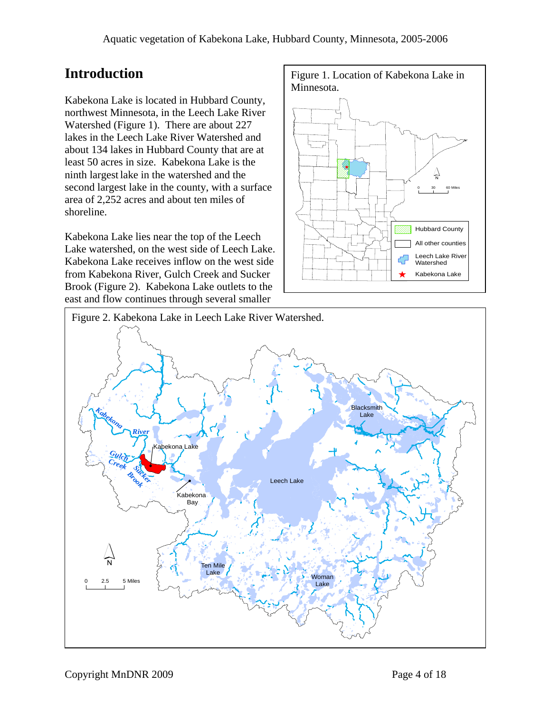Kabekona Lake is located in Hubbard County, northwest Minnesota, in the Leech Lake River Watershed (Figure 1). There are about 227 lakes in the Leech Lake River Watershed and about 134 lakes in Hubbard County that are at least 50 acres in size. Kabekona Lake is the ninth largest lake in the watershed and the second largest lake in the county, with a surface area of 2,252 acres and about ten miles of shoreline.

Kabekona Lake lies near the top of the Leech Lake watershed, on the west side of Leech Lake. Kabekona Lake receives inflow on the west side from Kabekona River, Gulch Creek and Sucker Brook (Figure 2). Kabekona Lake outlets to the east and flow continues through several smaller



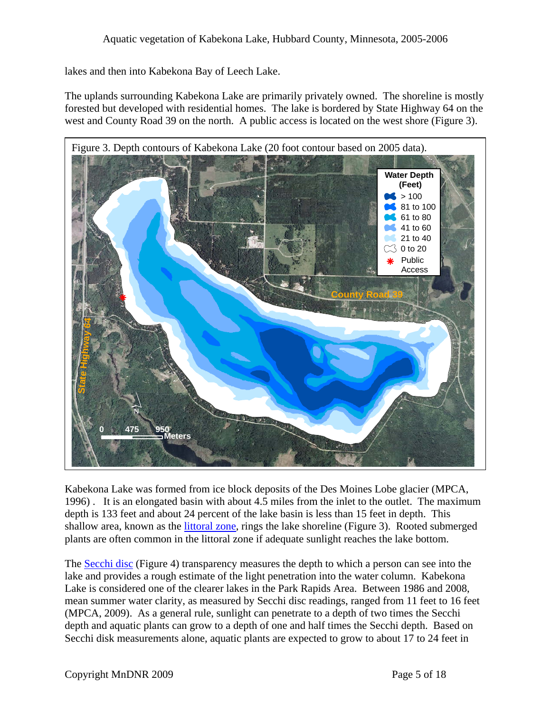lakes and then into Kabekona Bay of Leech Lake.

The uplands surrounding Kabekona Lake are primarily privately owned. The shoreline is mostly forested but developed with residential homes. The lake is bordered by State Highway 64 on the west and County Road 39 on the north. A public access is located on the west shore (Figure 3).



Kabekona Lake was formed from ice block deposits of the Des Moines Lobe glacier (MPCA, 1996) . It is an elongated basin with about 4.5 miles from the inlet to the outlet. The maximum depth is 133 feet and about 24 percent of the lake basin is less than 15 feet in depth. This shallow area, known as the [littoral zone](http://www.dnr.state.mn.us/shorelandmgmt/apg/wheregrow.html), rings the lake shoreline (Figure 3). Rooted submerged plants are often common in the littoral zone if adequate sunlight reaches the lake bottom.

The [Secchi disc](http://www.pca.state.mn.us/water/secchi-slideshow.html) (Figure 4) transparency measures the depth to which a person can see into the lake and provides a rough estimate of the light penetration into the water column. Kabekona Lake is considered one of the clearer lakes in the Park Rapids Area. Between 1986 and 2008, mean summer water clarity, as measured by Secchi disc readings, ranged from 11 feet to 16 feet (MPCA, 2009). As a general rule, sunlight can penetrate to a depth of two times the Secchi depth and aquatic plants can grow to a depth of one and half times the Secchi depth. Based on Secchi disk measurements alone, aquatic plants are expected to grow to about 17 to 24 feet in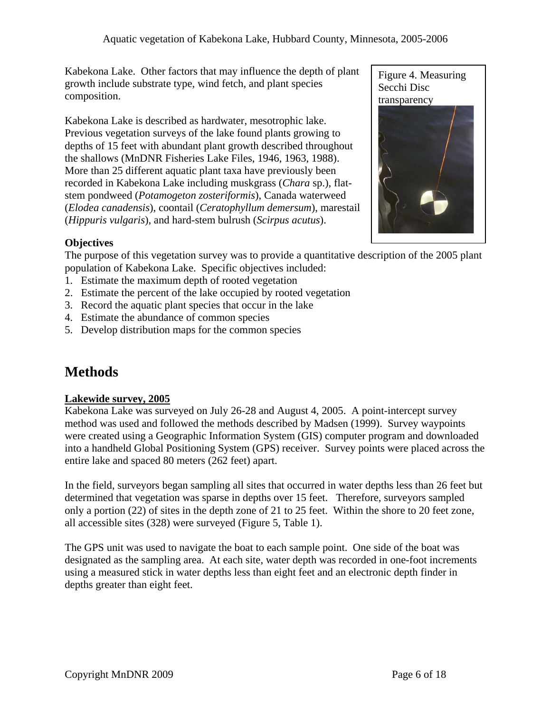Kabekona Lake. Other factors that may influence the depth of plant growth include substrate type, wind fetch, and plant species composition.

Kabekona Lake is described as hardwater, mesotrophic lake. Previous vegetation surveys of the lake found plants growing to depths of 15 feet with abundant plant growth described throughout the shallows (MnDNR Fisheries Lake Files, 1946, 1963, 1988). More than 25 different aquatic plant taxa have previously been recorded in Kabekona Lake including muskgrass (*Chara* sp.), flatstem pondweed (*Potamogeton zosteriformis*), Canada waterweed (*Elodea canadensis*), coontail (*Ceratophyllum demersum*), marestail (*Hippuris vulgaris*), and hard-stem bulrush (*Scirpus acutus*).



# **Objectives**

The purpose of this vegetation survey was to provide a quantitative description of the 2005 plant population of Kabekona Lake. Specific objectives included:

- 1. Estimate the maximum depth of rooted vegetation
- 2. Estimate the percent of the lake occupied by rooted vegetation
- 3. Record the aquatic plant species that occur in the lake
- 4. Estimate the abundance of common species
- 5. Develop distribution maps for the common species

# **Methods**

### **Lakewide survey, 2005**

Kabekona Lake was surveyed on July 26-28 and August 4, 2005. A point-intercept survey method was used and followed the methods described by Madsen (1999). Survey waypoints were created using a Geographic Information System (GIS) computer program and downloaded into a handheld Global Positioning System (GPS) receiver. Survey points were placed across the entire lake and spaced 80 meters (262 feet) apart.

In the field, surveyors began sampling all sites that occurred in water depths less than 26 feet but determined that vegetation was sparse in depths over 15 feet. Therefore, surveyors sampled only a portion (22) of sites in the depth zone of 21 to 25 feet. Within the shore to 20 feet zone, all accessible sites (328) were surveyed (Figure 5, Table 1).

The GPS unit was used to navigate the boat to each sample point. One side of the boat was designated as the sampling area. At each site, water depth was recorded in one-foot increments using a measured stick in water depths less than eight feet and an electronic depth finder in depths greater than eight feet.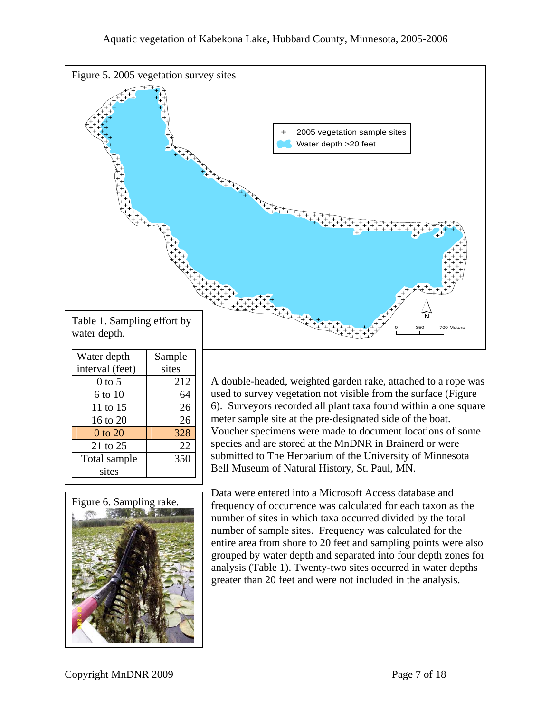

| Water depth     | Sample |  |  |
|-----------------|--------|--|--|
| interval (feet) | sites  |  |  |
| $0$ to 5        | 212    |  |  |
| 6 to 10         | 64     |  |  |
| 11 to 15        | 26     |  |  |
| 16 to 20        | 26     |  |  |
| 0 to 20         | 328    |  |  |
| 21 to 25        | 22     |  |  |
| Total sample    | 350    |  |  |
| sites           |        |  |  |

A double-headed, weighted garden rake, attached to a rope was used to survey vegetation not visible from the surface (Figure 6). Surveyors recorded all plant taxa found within a one square meter sample site at the pre-designated side of the boat. Voucher specimens were made to document locations of some species and are stored at the MnDNR in Brainerd or were submitted to The Herbarium of the University of Minnesota Bell Museum of Natural History, St. Paul, MN.



Data were entered into a Microsoft Access database and frequency of occurrence was calculated for each taxon as the number of sites in which taxa occurred divided by the total number of sample sites. Frequency was calculated for the entire area from shore to 20 feet and sampling points were also grouped by water depth and separated into four depth zones for analysis (Table 1). Twenty-two sites occurred in water depths greater than 20 feet and were not included in the analysis.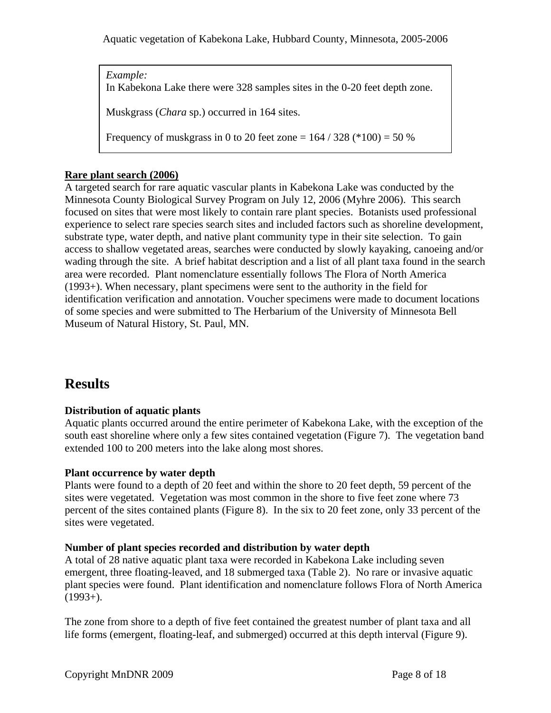*Example:*  In Kabekona Lake there were 328 samples sites in the 0-20 feet depth zone. Muskgrass (*Chara* sp.) occurred in 164 sites.

Frequency of muskgrass in 0 to 20 feet zone =  $164 / 328$  (\*100) = 50 %

## **Rare plant search (2006)**

A targeted search for rare aquatic vascular plants in Kabekona Lake was conducted by the Minnesota County Biological Survey Program on July 12, 2006 (Myhre 2006). This search focused on sites that were most likely to contain rare plant species. Botanists used professional experience to select rare species search sites and included factors such as shoreline development, substrate type, water depth, and native plant community type in their site selection. To gain access to shallow vegetated areas, searches were conducted by slowly kayaking, canoeing and/or wading through the site. A brief habitat description and a list of all plant taxa found in the search area were recorded. Plant nomenclature essentially follows The Flora of North America (1993+). When necessary, plant specimens were sent to the authority in the field for identification verification and annotation. Voucher specimens were made to document locations of some species and were submitted to The Herbarium of the University of Minnesota Bell Museum of Natural History, St. Paul, MN.

# **Results**

## **Distribution of aquatic plants**

Aquatic plants occurred around the entire perimeter of Kabekona Lake, with the exception of the south east shoreline where only a few sites contained vegetation (Figure 7). The vegetation band extended 100 to 200 meters into the lake along most shores.

## **Plant occurrence by water depth**

Plants were found to a depth of 20 feet and within the shore to 20 feet depth, 59 percent of the sites were vegetated. Vegetation was most common in the shore to five feet zone where 73 percent of the sites contained plants (Figure 8). In the six to 20 feet zone, only 33 percent of the sites were vegetated.

## **Number of plant species recorded and distribution by water depth**

A total of 28 native aquatic plant taxa were recorded in Kabekona Lake including seven emergent, three floating-leaved, and 18 submerged taxa (Table 2). No rare or invasive aquatic plant species were found. Plant identification and nomenclature follows Flora of North America  $(1993+)$ .

The zone from shore to a depth of five feet contained the greatest number of plant taxa and all life forms (emergent, floating-leaf, and submerged) occurred at this depth interval (Figure 9).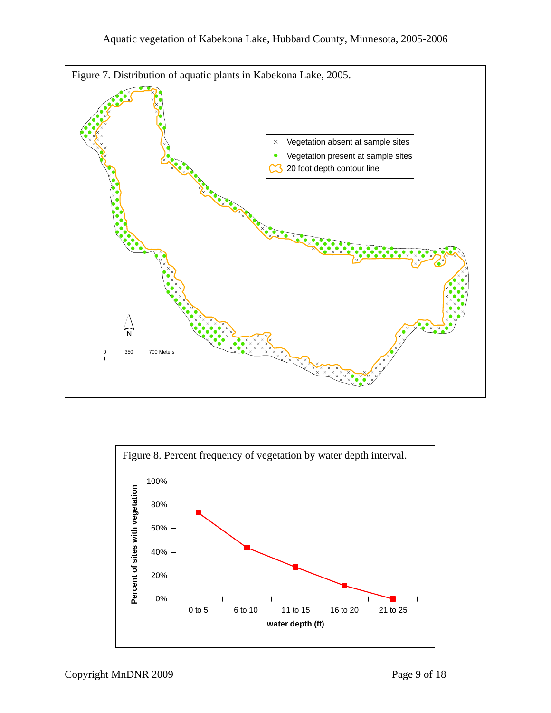

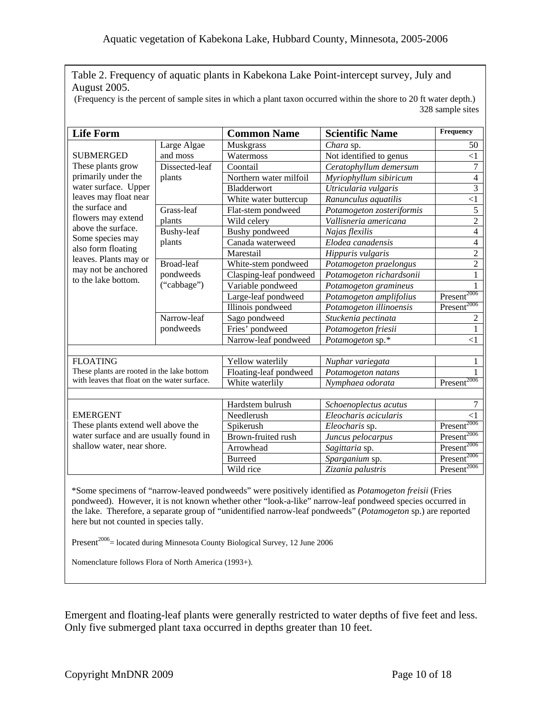Table 2. Frequency of aquatic plants in Kabekona Lake Point-intercept survey, July and August 2005.

(Frequency is the percent of sample sites in which a plant taxon occurred within the shore to 20 ft water depth.) 328 sample sites

| <b>Life Form</b>                                                                                                                                                                                                                                                                              |                          | <b>Common Name</b>     | <b>Scientific Name</b>    | Frequency               |  |
|-----------------------------------------------------------------------------------------------------------------------------------------------------------------------------------------------------------------------------------------------------------------------------------------------|--------------------------|------------------------|---------------------------|-------------------------|--|
| <b>SUBMERGED</b><br>These plants grow<br>primarily under the<br>water surface. Upper<br>leaves may float near<br>the surface and<br>flowers may extend<br>above the surface.<br>Some species may<br>also form floating<br>leaves. Plants may or<br>may not be anchored<br>to the lake bottom. | Large Algae              | Muskgrass              | Chara sp.                 | 50                      |  |
|                                                                                                                                                                                                                                                                                               | and moss                 | Watermoss              | Not identified to genus   | $<$ 1                   |  |
|                                                                                                                                                                                                                                                                                               | Dissected-leaf           | Coontail               | Ceratophyllum demersum    | $\overline{7}$          |  |
|                                                                                                                                                                                                                                                                                               | plants                   | Northern water milfoil | Myriophyllum sibiricum    | $\overline{4}$          |  |
|                                                                                                                                                                                                                                                                                               |                          | Bladderwort            | Utricularia vulgaris      | $\overline{3}$          |  |
|                                                                                                                                                                                                                                                                                               |                          | White water buttercup  | Ranunculus aquatilis      | $\leq$ 1                |  |
|                                                                                                                                                                                                                                                                                               | Grass-leaf               | Flat-stem pondweed     | Potamogeton zosteriformis | $\overline{5}$          |  |
|                                                                                                                                                                                                                                                                                               | plants                   | Wild celery            | Vallisneria americana     | $\overline{2}$          |  |
|                                                                                                                                                                                                                                                                                               | Bushy-leaf               | Bushy pondweed         | Najas flexilis            | $\overline{4}$          |  |
|                                                                                                                                                                                                                                                                                               | plants                   | Canada waterweed       | Elodea canadensis         | $\overline{4}$          |  |
|                                                                                                                                                                                                                                                                                               |                          | Marestail              | Hippuris vulgaris         | $\overline{2}$          |  |
|                                                                                                                                                                                                                                                                                               | <b>Broad-leaf</b>        | White-stem pondweed    | Potamogeton praelongus    | $\overline{2}$          |  |
|                                                                                                                                                                                                                                                                                               | pondweeds<br>("cabbage") | Clasping-leaf pondweed | Potamogeton richardsonii  | 1                       |  |
|                                                                                                                                                                                                                                                                                               |                          | Variable pondweed      | Potamogeton gramineus     | 1                       |  |
|                                                                                                                                                                                                                                                                                               |                          | Large-leaf pondweed    | Potamogeton amplifolius   | Present <sup>2006</sup> |  |
|                                                                                                                                                                                                                                                                                               |                          | Illinois pondweed      | Potamogeton illinoensis   | Present <sup>2006</sup> |  |
|                                                                                                                                                                                                                                                                                               | Narrow-leaf              | Sago pondweed          | Stuckenia pectinata       | 2                       |  |
|                                                                                                                                                                                                                                                                                               | pondweeds                | Fries' pondweed        | Potamogeton friesii       | 1                       |  |
|                                                                                                                                                                                                                                                                                               |                          | Narrow-leaf pondweed   | Potamogeton sp.*          | $<$ 1                   |  |
|                                                                                                                                                                                                                                                                                               |                          |                        |                           |                         |  |
| <b>FLOATING</b>                                                                                                                                                                                                                                                                               |                          | Yellow waterlily       | Nuphar variegata          |                         |  |
| These plants are rooted in the lake bottom                                                                                                                                                                                                                                                    |                          | Floating-leaf pondweed | Potamogeton natans        | 1                       |  |
| with leaves that float on the water surface.                                                                                                                                                                                                                                                  |                          | White waterlily        | Nymphaea odorata          | $P$ resent $2006$       |  |
|                                                                                                                                                                                                                                                                                               |                          |                        |                           |                         |  |
| <b>EMERGENT</b><br>These plants extend well above the<br>water surface and are usually found in<br>shallow water, near shore.                                                                                                                                                                 |                          | Hardstem bulrush       | Schoenoplectus acutus     | 7                       |  |
|                                                                                                                                                                                                                                                                                               |                          | Needlerush             | Eleocharis acicularis     | $<$ 1                   |  |
|                                                                                                                                                                                                                                                                                               |                          | Spikerush              | Eleocharis sp.            | Present <sup>2006</sup> |  |
|                                                                                                                                                                                                                                                                                               |                          | Brown-fruited rush     | Juncus pelocarpus         | Present <sup>2006</sup> |  |
|                                                                                                                                                                                                                                                                                               |                          | Arrowhead              | Sagittaria sp.            | Present <sup>2006</sup> |  |
|                                                                                                                                                                                                                                                                                               |                          | <b>Burreed</b>         | Sparganium sp.            | Present <sup>2006</sup> |  |
|                                                                                                                                                                                                                                                                                               |                          | Wild rice              | Zizania palustris         | $Present^{2006}$        |  |
|                                                                                                                                                                                                                                                                                               |                          |                        |                           |                         |  |

\*Some specimens of "narrow-leaved pondweeds" were positively identified as *Potamogeton freisii* (Fries pondweed). However, it is not known whether other "look-a-like" narrow-leaf pondweed species occurred in the lake. Therefore, a separate group of "unidentified narrow-leaf pondweeds" (*Potamogeton* sp.) are reported here but not counted in species tally.

Present<sup>2006</sup> = located during Minnesota County Biological Survey, 12 June 2006

Nomenclature follows Flora of North America (1993+).

Emergent and floating-leaf plants were generally restricted to water depths of five feet and less. Only five submerged plant taxa occurred in depths greater than 10 feet.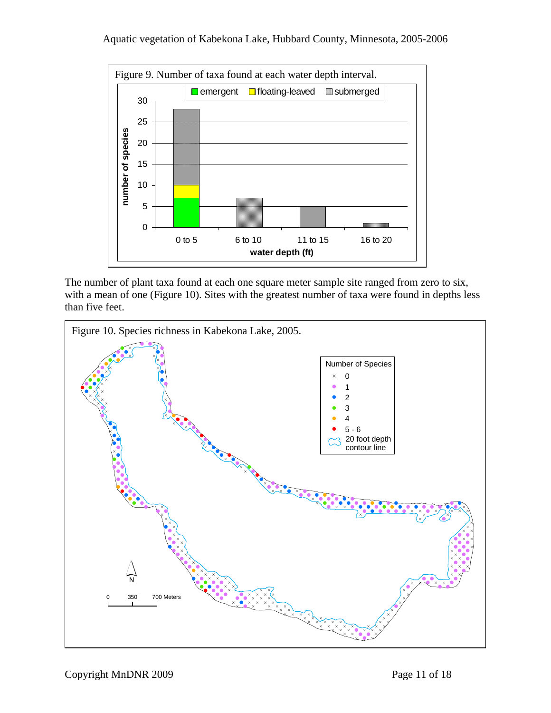

The number of plant taxa found at each one square meter sample site ranged from zero to six, with a mean of one (Figure 10). Sites with the greatest number of taxa were found in depths less than five feet.

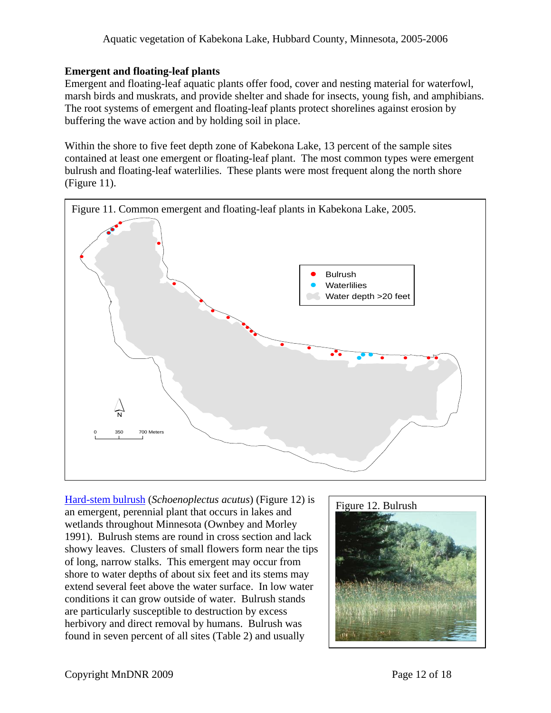## **Emergent and floating-leaf plants**

Emergent and floating-leaf aquatic plants offer food, cover and nesting material for waterfowl, marsh birds and muskrats, and provide shelter and shade for insects, young fish, and amphibians. The root systems of emergent and floating-leaf plants protect shorelines against erosion by buffering the wave action and by holding soil in place.

Within the shore to five feet depth zone of Kabekona Lake, 13 percent of the sample sites contained at least one emergent or floating-leaf plant. The most common types were emergent bulrush and floating-leaf waterlilies. These plants were most frequent along the north shore (Figure 11).



[Hard-stem bulrush](http://www.dnr.state.mn.us/aquatic_plants/emergent_plants/bulrushes.html) (*Schoenoplectus acutus*) (Figure 12) is an emergent, perennial plant that occurs in lakes and wetlands throughout Minnesota (Ownbey and Morley 1991). Bulrush stems are round in cross section and lack showy leaves. Clusters of small flowers form near the tips of long, narrow stalks. This emergent may occur from shore to water depths of about six feet and its stems may extend several feet above the water surface. In low water conditions it can grow outside of water. Bulrush stands are particularly susceptible to destruction by excess herbivory and direct removal by humans. Bulrush was found in seven percent of all sites (Table 2) and usually

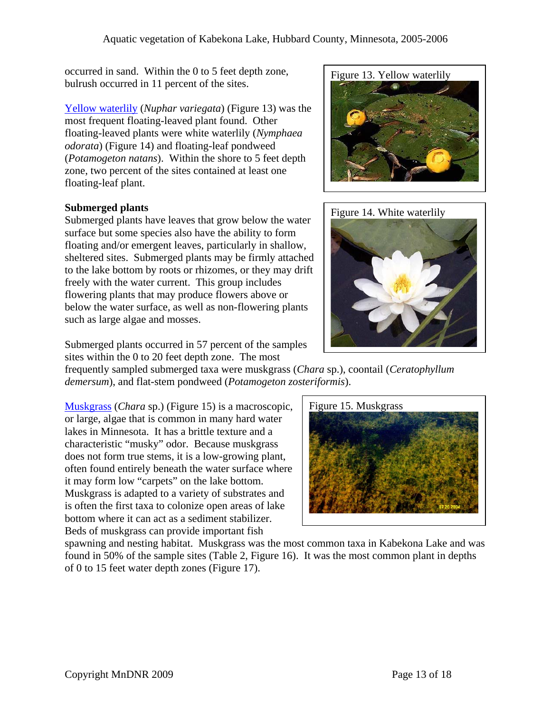Figure 13. Yellow waterlily occurred in sand. Within the 0 to 5 feet depth zone, bulrush occurred in 11 percent of the sites.

[Yellow waterlily](http://www.dnr.state.mn.us/aquatic_plants/floatingleaf_plants/spatterdock.html) (*Nuphar variegata*) (Figure 13) was the most frequent floating-leaved plant found. Other floating-leaved plants were white waterlily (*Nymphaea odorata*) (Figure 14) and floating-leaf pondweed (*Potamogeton natans*). Within the shore to 5 feet depth zone, two percent of the sites contained at least one floating-leaf plant.

# **Submerged plants**

Submerged plants have leaves that grow below the water surface but some species also have the ability to form floating and/or emergent leaves, particularly in shallow, sheltered sites. Submerged plants may be firmly attached to the lake bottom by roots or rhizomes, or they may drift freely with the water current. This group includes flowering plants that may produce flowers above or below the water surface, as well as non-flowering plants such as large algae and mosses.

Submerged plants occurred in 57 percent of the samples sites within the 0 to 20 feet depth zone. The most

frequently sampled submerged taxa were muskgrass (*Chara* sp.), coontail (*Ceratophyllum demersum*), and flat-stem pondweed (*Potamogeton zosteriformis*).

[Muskgrass](http://www.dnr.state.mn.us/aquatic_plants/algae/chara.html) (*Chara* sp.) (Figure 15) is a macroscopic, or large, algae that is common in many hard water lakes in Minnesota. It has a brittle texture and a characteristic "musky" odor. Because muskgrass does not form true stems, it is a low-growing plant, often found entirely beneath the water surface where it may form low "carpets" on the lake bottom. Muskgrass is adapted to a variety of substrates and is often the first taxa to colonize open areas of lake bottom where it can act as a sediment stabilizer. Beds of muskgrass can provide important fish



spawning and nesting habitat. Muskgrass was the most common taxa in Kabekona Lake and was found in 50% of the sample sites (Table 2, Figure 16). It was the most common plant in depths of 0 to 15 feet water depth zones (Figure 17).



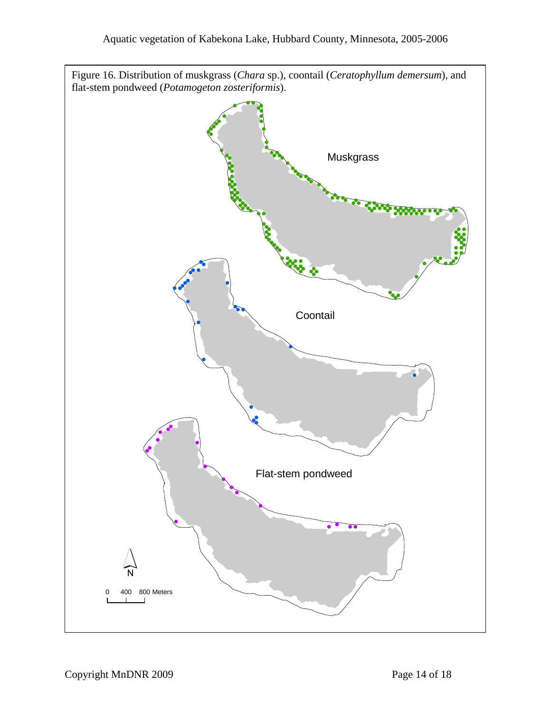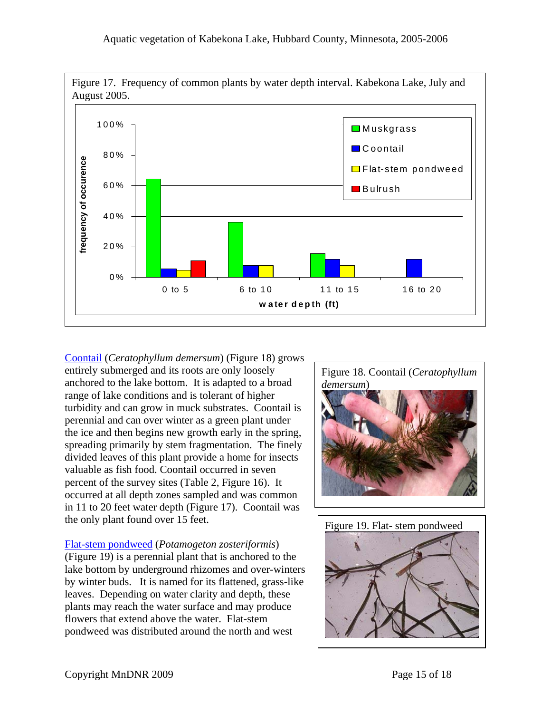

[Coontail](http://www.dnr.state.mn.us/aquatic_plants/submerged_plants/coontail.html) (*Ceratophyllum demersum*) (Figure 18) grows entirely submerged and its roots are only loosely anchored to the lake bottom. It is adapted to a broad range of lake conditions and is tolerant of higher turbidity and can grow in muck substrates. Coontail is perennial and can over winter as a green plant under the ice and then begins new growth early in the spring, spreading primarily by stem fragmentation. The finely divided leaves of this plant provide a home for insects valuable as fish food. Coontail occurred in seven percent of the survey sites (Table 2, Figure 16). It occurred at all depth zones sampled and was common in 11 to 20 feet water depth (Figure 17). Coontail was the only plant found over 15 feet.

[Flat-stem pondweed](http://www.dnr.state.mn.us/aquatic_plants/submerged_plants/narrowleaf_pondweeds.html) (*Potamogeton zosteriformis*) (Figure 19) is a perennial plant that is anchored to the lake bottom by underground rhizomes and over-winters by winter buds. It is named for its flattened, grass-like leaves. Depending on water clarity and depth, these plants may reach the water surface and may produce flowers that extend above the water. Flat-stem pondweed was distributed around the north and west



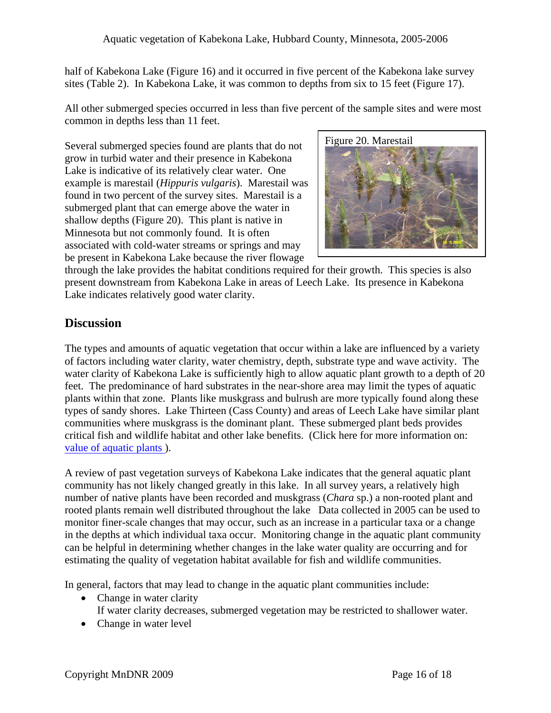half of Kabekona Lake (Figure 16) and it occurred in five percent of the Kabekona lake survey sites (Table 2). In Kabekona Lake, it was common to depths from six to 15 feet (Figure 17).

All other submerged species occurred in less than five percent of the sample sites and were most common in depths less than 11 feet.

Several submerged species found are plants that do not grow in turbid water and their presence in Kabekona Lake is indicative of its relatively clear water. One example is marestail (*Hippuris vulgaris*). Marestail was found in two percent of the survey sites. Marestail is a submerged plant that can emerge above the water in shallow depths (Figure 20). This plant is native in Minnesota but not commonly found. It is often associated with cold-water streams or springs and may be present in Kabekona Lake because the river flowage



through the lake provides the habitat conditions required for their growth. This species is also present downstream from Kabekona Lake in areas of Leech Lake. Its presence in Kabekona Lake indicates relatively good water clarity.

# **Discussion**

The types and amounts of aquatic vegetation that occur within a lake are influenced by a variety of factors including water clarity, water chemistry, depth, substrate type and wave activity. The water clarity of Kabekona Lake is sufficiently high to allow aquatic plant growth to a depth of 20 feet. The predominance of hard substrates in the near-shore area may limit the types of aquatic plants within that zone. Plants like muskgrass and bulrush are more typically found along these types of sandy shores. Lake Thirteen (Cass County) and areas of Leech Lake have similar plant communities where muskgrass is the dominant plant. These submerged plant beds provides critical fish and wildlife habitat and other lake benefits. (Click here for more information on: [value of aquatic plants](http://www.dnr.state.mn.us/shorelandmgmt/apg/value.html) ).

A review of past vegetation surveys of Kabekona Lake indicates that the general aquatic plant community has not likely changed greatly in this lake. In all survey years, a relatively high number of native plants have been recorded and muskgrass (*Chara* sp.) a non-rooted plant and rooted plants remain well distributed throughout the lake Data collected in 2005 can be used to monitor finer-scale changes that may occur, such as an increase in a particular taxa or a change in the depths at which individual taxa occur. Monitoring change in the aquatic plant community can be helpful in determining whether changes in the lake water quality are occurring and for estimating the quality of vegetation habitat available for fish and wildlife communities.

In general, factors that may lead to change in the aquatic plant communities include:

- Change in water clarity
	- If water clarity decreases, submerged vegetation may be restricted to shallower water.
- Change in water level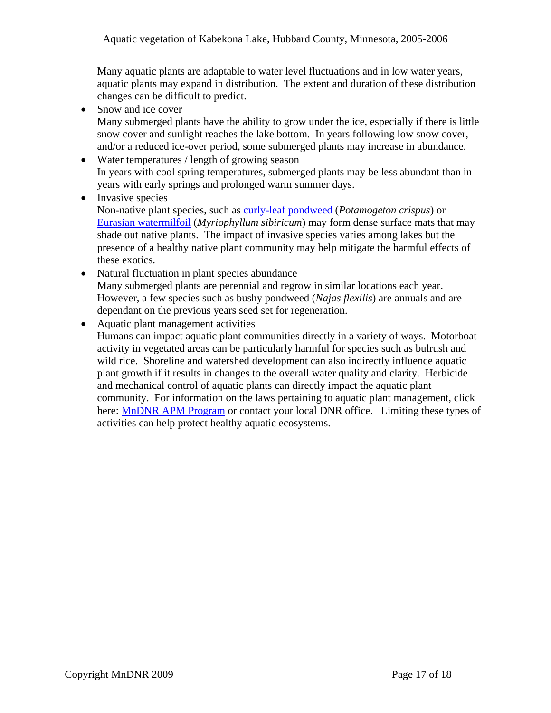Many aquatic plants are adaptable to water level fluctuations and in low water years, aquatic plants may expand in distribution. The extent and duration of these distribution changes can be difficult to predict.

• Snow and ice cover

Many submerged plants have the ability to grow under the ice, especially if there is little snow cover and sunlight reaches the lake bottom. In years following low snow cover, and/or a reduced ice-over period, some submerged plants may increase in abundance.

• Water temperatures / length of growing season In years with cool spring temperatures, submerged plants may be less abundant than in years with early springs and prolonged warm summer days.

• Invasive species Non-native plant species, such as [curly-leaf pondweed](http://www.dnr.state.mn.us/aquatic_plants/submerged_plants/curlyleaf_pondweed.html) (*Potamogeton crispus*) or [Eurasian watermilfoil](http://www.dnr.state.mn.us/invasives/aquaticplants/milfoil/index.html) (*Myriophyllum sibiricum*) may form dense surface mats that may shade out native plants. The impact of invasive species varies among lakes but the presence of a healthy native plant community may help mitigate the harmful effects of these exotics.

• Natural fluctuation in plant species abundance Many submerged plants are perennial and regrow in similar locations each year. However, a few species such as bushy pondweed (*Najas flexilis*) are annuals and are dependant on the previous years seed set for regeneration.

• Aquatic plant management activities

Humans can impact aquatic plant communities directly in a variety of ways. Motorboat activity in vegetated areas can be particularly harmful for species such as bulrush and wild rice. Shoreline and watershed development can also indirectly influence aquatic plant growth if it results in changes to the overall water quality and clarity. Herbicide and mechanical control of aquatic plants can directly impact the aquatic plant community. For information on the laws pertaining to aquatic plant management, click here: [MnDNR APM Program](http://www.dnr.state.mn.us/eco/pubs_aquatics.html) or contact your local DNR office. Limiting these types of activities can help protect healthy aquatic ecosystems.